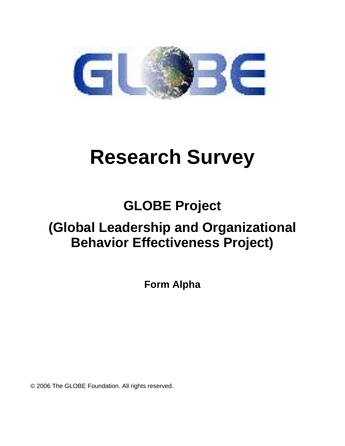

# **Research Survey**

## **GLOBE Project**

## **(Global Leadership and Organizational Behavior Effectiveness Project)**

**Form Alpha** 

© 2006 The GLOBE Foundation. All rights reserved.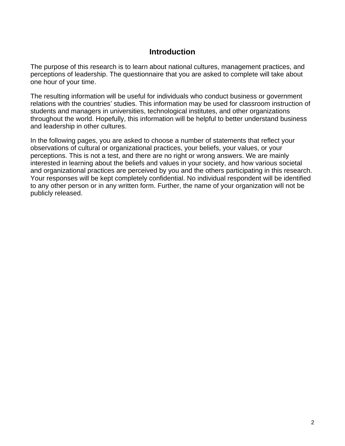#### **Introduction**

The purpose of this research is to learn about national cultures, management practices, and perceptions of leadership. The questionnaire that you are asked to complete will take about one hour of your time.

The resulting information will be useful for individuals who conduct business or government relations with the countries' studies. This information may be used for classroom instruction of students and managers in universities, technological institutes, and other organizations throughout the world. Hopefully, this information will be helpful to better understand business and leadership in other cultures.

In the following pages, you are asked to choose a number of statements that reflect your observations of cultural or organizational practices, your beliefs, your values, or your perceptions. This is not a test, and there are no right or wrong answers. We are mainly interested in learning about the beliefs and values in your society, and how various societal and organizational practices are perceived by you and the others participating in this research. Your responses will be kept completely confidential. No individual respondent will be identified to any other person or in any written form. Further, the name of your organization will not be publicly released.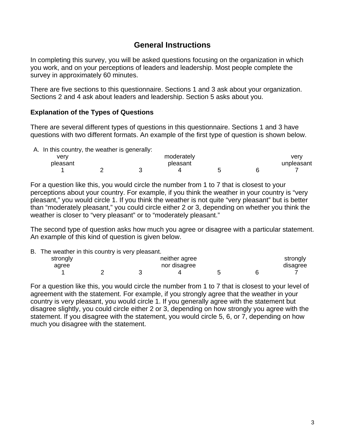#### **General Instructions**

In completing this survey, you will be asked questions focusing on the organization in which you work, and on your perceptions of leaders and leadership. Most people complete the survey in approximately 60 minutes.

There are five sections to this questionnaire. Sections 1 and 3 ask about your organization. Sections 2 and 4 ask about leaders and leadership. Section 5 asks about you.

#### **Explanation of the Types of Questions**

There are several different types of questions in this questionnaire. Sections 1 and 3 have questions with two different formats. An example of the first type of question is shown below.

| A. In this country, the weather is generally: |            |
|-----------------------------------------------|------------|
|                                               | فمعمام ممم |

| very     |  | moderately |  | verv       |
|----------|--|------------|--|------------|
| pleasant |  | pleasant   |  | unpleasant |
|          |  |            |  |            |

For a question like this, you would circle the number from 1 to 7 that is closest to your perceptions about your country. For example, if you think the weather in your country is "very pleasant," you would circle 1. If you think the weather is not quite "very pleasant" but is better than "moderately pleasant," you could circle either 2 or 3, depending on whether you think the weather is closer to "very pleasant" or to "moderately pleasant."

The second type of question asks how much you agree or disagree with a particular statement. An example of this kind of question is given below.

|  | B. The weather in this country is very pleasant. |  |  |  |  |
|--|--------------------------------------------------|--|--|--|--|
|  |                                                  |  |  |  |  |

| strongly | . | neither agree |  | strongly |
|----------|---|---------------|--|----------|
| agree    |   | nor disagree  |  | disagree |
|          |   |               |  |          |

For a question like this, you would circle the number from 1 to 7 that is closest to your level of agreement with the statement. For example, if you strongly agree that the weather in your country is very pleasant, you would circle 1. If you generally agree with the statement but disagree slightly, you could circle either 2 or 3, depending on how strongly you agree with the statement. If you disagree with the statement, you would circle 5, 6, or 7, depending on how much you disagree with the statement.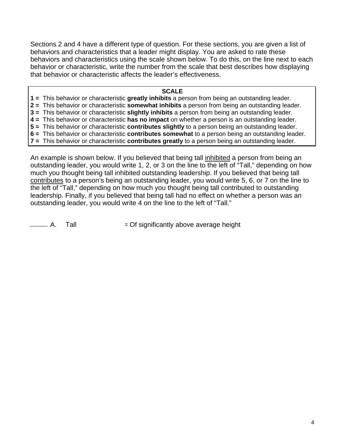Sections 2 and 4 have a different type of question. For these sections, you are given a list of behaviors and characteristics that a leader might display. You are asked to rate these behaviors and characteristics using the scale shown below. To do this, on the line next to each behavior or characteristic, write the number from the scale that best describes how displaying that behavior or characteristic affects the leader's effectiveness.

#### **SCALE**

- **1 =** This behavior or characteristic **greatly inhibits** a person from being an outstanding leader.
- **2 =** This behavior or characteristic **somewhat inhibits** a person from being an outstanding leader.
- **3 =** This behavior or characteristic **slightly inhibits** a person from being an outstanding leader.
- **4 =** This behavior or characteristic **has no impact** on whether a person is an outstanding leader.
- **5 =** This behavior or characteristic **contributes slightly** to a person being an outstanding leader.
- **6 =** This behavior or characteristic **contributes somewhat** to a person being an outstanding leader.
- **7 =** This behavior or characteristic **contributes greatly** to a person being an outstanding leader.

An example is shown below. If you believed that being tall inhibited a person from being an outstanding leader, you would write 1, 2, or 3 on the line to the left of "Tall," depending on how much you thought being tall inhibited outstanding leadership. If you believed that being tall contributes to a person's being an outstanding leader, you would write 5, 6, or 7 on the line to the left of "Tall," depending on how much you thought being tall contributed to outstanding leadership. Finally, if you believed that being tall had no effect on whether a person was an outstanding leader, you would write 4 on the line to the left of "Tall."

— A. Tall  $=$  Of significantly above average height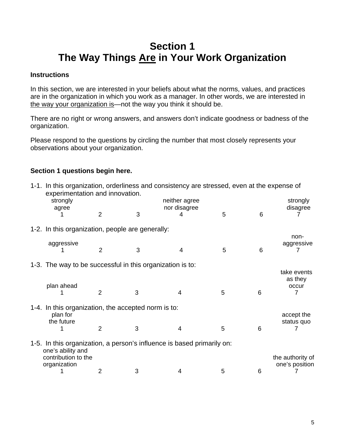## **Section 1 The Way Things Are in Your Work Organization**

#### **Instructions**

In this section, we are interested in your beliefs about what the norms, values, and practices are in the organization in which you work as a manager. In other words, we are interested in the way your organization is—not the way you think it should be.

There are no right or wrong answers, and answers don't indicate goodness or badness of the organization.

Please respond to the questions by circling the number that most closely represents your observations about your organization.

#### **Section 1 questions begin here.**

| 1-1. In this organization, orderliness and consistency are stressed, even at the expense of<br>experimentation and innovation. |                |   |               |   |   |                  |
|--------------------------------------------------------------------------------------------------------------------------------|----------------|---|---------------|---|---|------------------|
| strongly                                                                                                                       |                |   | neither agree |   |   | strongly         |
| agree                                                                                                                          |                |   | nor disagree  |   |   | disagree         |
|                                                                                                                                | $\overline{2}$ | 3 | 4             | 5 | 6 |                  |
| 1-2. In this organization, people are generally:                                                                               |                |   |               |   |   |                  |
|                                                                                                                                |                |   |               |   |   | non-             |
| aggressive                                                                                                                     | $\overline{2}$ | 3 | 4             | 5 | 6 | aggressive       |
|                                                                                                                                |                |   |               |   |   |                  |
| 1-3. The way to be successful in this organization is to:                                                                      |                |   |               |   |   |                  |
|                                                                                                                                |                |   |               |   |   | take events      |
|                                                                                                                                |                |   |               |   |   | as they          |
| plan ahead                                                                                                                     | $\overline{2}$ | 3 | 4             | 5 | 6 | occur<br>7       |
|                                                                                                                                |                |   |               |   |   |                  |
| 1-4. In this organization, the accepted norm is to:                                                                            |                |   |               |   |   |                  |
| plan for                                                                                                                       |                |   |               |   |   | accept the       |
| the future                                                                                                                     |                |   |               |   |   | status quo       |
|                                                                                                                                | $\overline{2}$ | 3 | 4             | 5 | 6 |                  |
| 1-5. In this organization, a person's influence is based primarily on:                                                         |                |   |               |   |   |                  |
| one's ability and                                                                                                              |                |   |               |   |   |                  |
| contribution to the                                                                                                            |                |   |               |   |   | the authority of |
| organization                                                                                                                   |                |   |               |   |   | one's position   |
|                                                                                                                                | 2              | 3 | 4             | 5 | 6 |                  |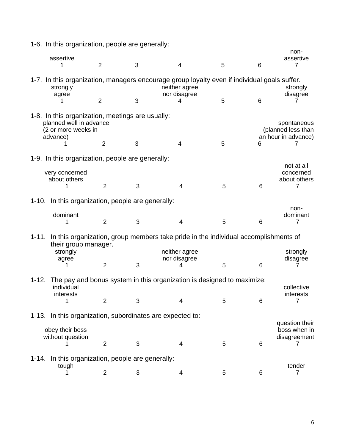|           | 1-6. In this organization, people are generally:                                                                  |                |   |  |                                    |   |   |                                                          |
|-----------|-------------------------------------------------------------------------------------------------------------------|----------------|---|--|------------------------------------|---|---|----------------------------------------------------------|
|           | assertive<br>1                                                                                                    | $\overline{2}$ | 3 |  | 4                                  | 5 | 6 | non-<br>assertive<br>$\overline{7}$                      |
|           | 1-7. In this organization, managers encourage group loyalty even if individual goals suffer.<br>strongly<br>agree |                |   |  | neither agree<br>nor disagree      |   |   | strongly<br>disagree                                     |
|           | 1                                                                                                                 | $\overline{2}$ | 3 |  | 4                                  | 5 | 6 | $\prime$                                                 |
|           | 1-8. In this organization, meetings are usually:<br>planned well in advance<br>(2 or more weeks in<br>advance)    | $\overline{2}$ | 3 |  | $\overline{4}$                     | 5 | 6 | spontaneous<br>(planned less than<br>an hour in advance) |
|           | 1-9. In this organization, people are generally:                                                                  |                |   |  |                                    |   |   |                                                          |
|           | very concerned<br>about others                                                                                    | $\overline{2}$ | 3 |  | 4                                  | 5 | 6 | not at all<br>concerned<br>about others<br>7             |
|           | 1-10. In this organization, people are generally:                                                                 |                |   |  |                                    |   |   |                                                          |
|           | dominant<br>1                                                                                                     | $\overline{2}$ | 3 |  | 4                                  | 5 | 6 | non-<br>dominant<br>7                                    |
|           | 1-11. In this organization, group members take pride in the individual accomplishments of                         |                |   |  |                                    |   |   |                                                          |
|           | their group manager.<br>strongly<br>agree                                                                         | $\overline{2}$ | 3 |  | neither agree<br>nor disagree<br>4 | 5 | 6 | strongly<br>disagree                                     |
|           |                                                                                                                   |                |   |  |                                    |   |   |                                                          |
| $1 - 12.$ | The pay and bonus system in this organization is designed to maximize:<br>individual<br>interests                 |                |   |  |                                    |   |   | collective<br>interests                                  |
|           | 1                                                                                                                 | $\overline{2}$ | 3 |  | 4                                  | 5 | 6 | 7                                                        |
|           | 1-13. In this organization, subordinates are expected to:<br>obey their boss                                      |                |   |  |                                    |   |   | question their<br>boss when in                           |
|           | without question                                                                                                  | $\overline{2}$ | 3 |  | 4                                  | 5 | 6 | disagreement<br>7                                        |
|           |                                                                                                                   |                |   |  |                                    |   |   |                                                          |
| 1-14.     | In this organization, people are generally:<br>tough<br>1                                                         | 2              | 3 |  | 4                                  | 5 | 6 | tender<br>$\overline{7}$                                 |
|           |                                                                                                                   |                |   |  |                                    |   |   |                                                          |

6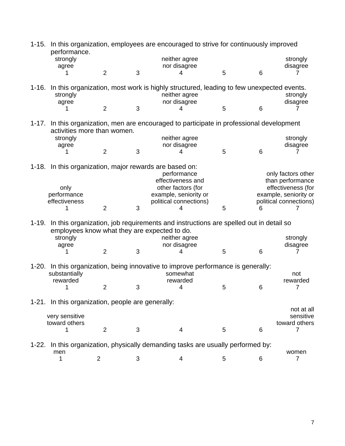|           | performance.                                             |                |   | 1-15. In this organization, employees are encouraged to strive for continuously improved                                       |   |                 |                                        |
|-----------|----------------------------------------------------------|----------------|---|--------------------------------------------------------------------------------------------------------------------------------|---|-----------------|----------------------------------------|
|           | strongly                                                 |                |   | neither agree                                                                                                                  |   |                 | strongly                               |
|           | agree                                                    |                |   | nor disagree                                                                                                                   |   |                 | disagree                               |
|           |                                                          | $\overline{2}$ | 3 | 4                                                                                                                              | 5 | 6               |                                        |
|           | strongly<br>agree                                        |                |   | 1-16. In this organization, most work is highly structured, leading to few unexpected events.<br>neither agree<br>nor disagree |   |                 | strongly<br>disagree                   |
|           |                                                          | $\overline{2}$ | 3 | 4                                                                                                                              | 5 | 6               |                                        |
|           | activities more than women.                              |                |   | 1-17. In this organization, men are encouraged to participate in professional development                                      |   |                 |                                        |
|           | strongly                                                 |                |   | neither agree                                                                                                                  |   |                 | strongly                               |
|           | agree                                                    | $\overline{2}$ | 3 | nor disagree<br>4                                                                                                              | 5 | 6               | disagree                               |
|           |                                                          |                |   |                                                                                                                                |   |                 |                                        |
|           | 1-18. In this organization, major rewards are based on:  |                |   | performance<br>effectiveness and                                                                                               |   |                 | only factors other<br>than performance |
|           | only                                                     |                |   | other factors (for                                                                                                             |   |                 | effectiveness (for                     |
|           | performance                                              |                |   | example, seniority or                                                                                                          |   |                 | example, seniority or                  |
|           | effectiveness                                            |                |   | political connections)                                                                                                         |   |                 | political connections)                 |
|           |                                                          | $\overline{2}$ | 3 |                                                                                                                                | 5 | ჩ               |                                        |
| $1 - 19.$ | employees know what they are expected to do.<br>strongly |                |   | In this organization, job requirements and instructions are spelled out in detail so<br>neither agree                          |   |                 | strongly                               |
|           | agree                                                    |                |   | nor disagree                                                                                                                   |   |                 | disagree                               |
|           |                                                          | $\overline{2}$ | 3 | 4                                                                                                                              | 5 | $6\phantom{1}6$ |                                        |
|           | substantially<br>rewarded                                |                |   | 1-20. In this organization, being innovative to improve performance is generally:<br>somewhat<br>rewarded                      |   |                 | not<br>rewarded                        |
|           | 1                                                        | $\overline{2}$ | 3 | 4                                                                                                                              | 5 | 6               | 7                                      |
|           |                                                          |                |   |                                                                                                                                |   |                 |                                        |
|           | 1-21. In this organization, people are generally:        |                |   |                                                                                                                                |   |                 | not at all                             |
|           | very sensitive<br>toward others                          |                |   |                                                                                                                                |   |                 | sensitive<br>toward others             |
|           | 1                                                        | $\overline{2}$ | 3 | 4                                                                                                                              | 5 | 6               | 7                                      |
|           |                                                          |                |   | 1-22. In this organization, physically demanding tasks are usually performed by:                                               |   |                 |                                        |
|           | men                                                      |                |   |                                                                                                                                |   |                 | women                                  |
|           | 1                                                        | $\overline{2}$ | 3 | 4                                                                                                                              | 5 | $6\phantom{1}6$ | $\overline{7}$                         |
|           |                                                          |                |   |                                                                                                                                |   |                 |                                        |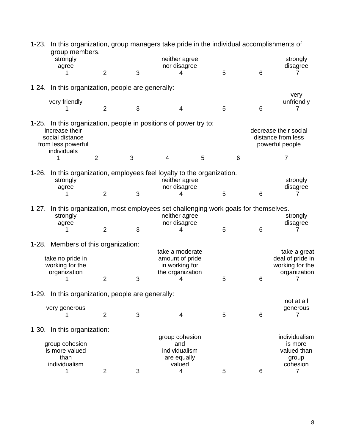|         | 1-23. In this organization, group managers take pride in the individual accomplishments of<br>group members.                               |                |   |                                                                                                                  |   |   |                                                                     |
|---------|--------------------------------------------------------------------------------------------------------------------------------------------|----------------|---|------------------------------------------------------------------------------------------------------------------|---|---|---------------------------------------------------------------------|
|         | strongly<br>agree                                                                                                                          |                |   | neither agree<br>nor disagree                                                                                    |   |   | strongly<br>disagree                                                |
|         |                                                                                                                                            | 2              | 3 | Δ                                                                                                                | 5 | 6 |                                                                     |
|         | 1-24. In this organization, people are generally:                                                                                          |                |   |                                                                                                                  |   |   |                                                                     |
|         | very friendly                                                                                                                              |                |   |                                                                                                                  |   |   | very<br>unfriendly                                                  |
|         |                                                                                                                                            | $\overline{2}$ | 3 | 4                                                                                                                | 5 | 6 | 7                                                                   |
|         | 1-25. In this organization, people in positions of power try to:<br>increase their<br>social distance<br>from less powerful<br>individuals |                |   |                                                                                                                  |   |   | decrease their social<br>distance from less<br>powerful people      |
|         | 1                                                                                                                                          | $\overline{2}$ | 3 | 4                                                                                                                | 5 | 6 | $\overline{7}$                                                      |
|         | 1-26. In this organization, employees feel loyalty to the organization.<br>strongly<br>agree                                               |                |   | neither agree<br>nor disagree                                                                                    |   |   | strongly<br>disagree                                                |
|         |                                                                                                                                            | $\overline{2}$ | 3 | 4                                                                                                                | 5 | 6 |                                                                     |
| $1-27.$ | strongly<br>agree                                                                                                                          |                |   | In this organization, most employees set challenging work goals for themselves.<br>neither agree<br>nor disagree |   |   | strongly<br>disagree                                                |
|         |                                                                                                                                            | $\overline{2}$ | 3 | 4                                                                                                                | 5 | 6 |                                                                     |
|         | 1-28. Members of this organization:                                                                                                        |                |   |                                                                                                                  |   |   |                                                                     |
|         | take no pride in<br>working for the<br>organization                                                                                        |                |   | take a moderate<br>amount of pride<br>in working for<br>the organization                                         |   |   | take a great<br>deal of pride in<br>working for the<br>organization |
|         |                                                                                                                                            | $\overline{2}$ | 3 | 4                                                                                                                | 5 | 6 |                                                                     |
|         | 1-29. In this organization, people are generally:                                                                                          |                |   |                                                                                                                  |   |   |                                                                     |
|         | very generous                                                                                                                              |                |   |                                                                                                                  |   |   | not at all<br>generous                                              |
|         | 1                                                                                                                                          | $\overline{2}$ | 3 | 4                                                                                                                | 5 | 6 | $\overline{7}$                                                      |
|         | 1-30. In this organization:                                                                                                                |                |   |                                                                                                                  |   |   |                                                                     |
|         | group cohesion<br>is more valued<br>than<br>individualism                                                                                  |                |   | group cohesion<br>and<br>individualism<br>are equally<br>valued                                                  |   |   | individualism<br>is more<br>valued than<br>group<br>cohesion        |
|         | 1                                                                                                                                          | $\overline{2}$ | 3 | 4                                                                                                                | 5 | 6 | $\overline{7}$                                                      |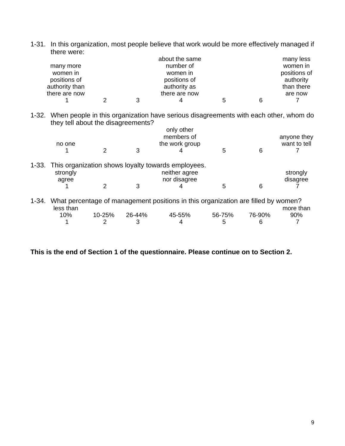| women in<br>positions of<br>authority than<br>there are now |               |        | women in<br>positions of<br>authority as<br>there are now                                  |        |        | positions of<br>authority<br>than there<br>are now |
|-------------------------------------------------------------|---------------|--------|--------------------------------------------------------------------------------------------|--------|--------|----------------------------------------------------|
|                                                             | $\mathcal{P}$ | 3      | 4                                                                                          | 5      | 6      |                                                    |
| they tell about the disagreements?                          |               |        | 1-32. When people in this organization have serious disagreements with each other, whom do |        |        |                                                    |
|                                                             |               |        | only other                                                                                 |        |        |                                                    |
|                                                             |               |        | members of                                                                                 |        |        | anyone they                                        |
| no one                                                      |               |        | the work group                                                                             |        |        | want to tell                                       |
|                                                             | 2             | 3      |                                                                                            | 5      | 6      |                                                    |
| strongly                                                    |               |        | 1-33. This organization shows loyalty towards employees.<br>neither agree                  |        |        | strongly                                           |
| agree                                                       |               |        | nor disagree                                                                               |        |        | disagree                                           |
|                                                             | 2             | 3      |                                                                                            | 5      | 6      |                                                    |
| less than                                                   |               |        | 1-34. What percentage of management positions in this organization are filled by women?    |        |        | more than                                          |
| 10%                                                         | 10-25%        | 26-44% | 45-55%                                                                                     | 56-75% | 76-90% | 90%                                                |
|                                                             |               |        |                                                                                            |        |        |                                                    |
|                                                             | 2             | 3      | 4                                                                                          | 5      | 6      |                                                    |

1-31. In this organization, most people believe that work would be more effectively managed if there were: about the same many less

number of

many more

**This is the end of Section 1 of the questionnaire. Please continue on to Section 2.** 

women in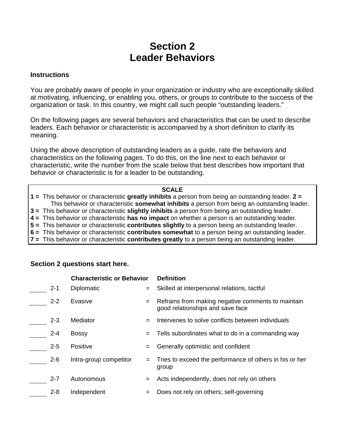## **Section 2 Leader Behaviors**

#### **Instructions**

You are probably aware of people in your organization or industry who are exceptionally skilled at motivating, influencing, or enabling you, others, or groups to contribute to the success of the organization or task. In this country, we might call such people "outstanding leaders."

On the following pages are several behaviors and characteristics that can be used to describe leaders. Each behavior or characteristic is accompanied by a short definition to clarify its meaning.

Using the above description of outstanding leaders as a guide, rate the behaviors and characteristics on the following pages. To do this, on the line next to each behavior or characteristic, write the number from the scale below that best describes how important that behavior or characteristic is for a leader to be outstanding.

#### **SCALE**

**1 =** This behavior or characteristic **greatly inhibits** a person from being an outstanding leader. **2 =** This behavior or characteristic **somewhat inhibits** a person from being an outstanding leader.

**3 =** This behavior or characteristic **slightly inhibits** a person from being an outstanding leader.

**4 =** This behavior or characteristic **has no impact** on whether a person is an outstanding leader.

**5 =** This behavior or characteristic **contributes slightly** to a person being an outstanding leader.

- **6 =** This behavior or characteristic **contributes somewhat** to a person being an outstanding leader.
- **7 =** This behavior or characteristic **contributes greatly** to a person being an outstanding leader.

#### **Section 2 questions start here.**

|         | <b>Characteristic or Behavior</b> |     | <b>Definition</b>                                                                      |  |  |
|---------|-----------------------------------|-----|----------------------------------------------------------------------------------------|--|--|
| $2 - 1$ | <b>Diplomatic</b>                 | $=$ | Skilled at interpersonal relations, tactful                                            |  |  |
| $2 - 2$ | Evasive                           | $=$ | Refrains from making negative comments to maintain<br>good relationships and save face |  |  |
| $2 - 3$ | Mediator                          | $=$ | Intervenes to solve conflicts between individuals                                      |  |  |
| $2 - 4$ | <b>Bossy</b>                      | $=$ | Tells subordinates what to do in a commanding way                                      |  |  |
| $2 - 5$ | Positive                          | $=$ | Generally optimistic and confident                                                     |  |  |
| $2 - 6$ | Intra-group competitor            |     | Tries to exceed the performance of others in his or her<br>group                       |  |  |
| $2 - 7$ | Autonomous                        | $=$ | Acts independently, does not rely on others                                            |  |  |
| $2 - 8$ | Independent                       |     | Does not rely on others; self-governing                                                |  |  |
|         |                                   |     |                                                                                        |  |  |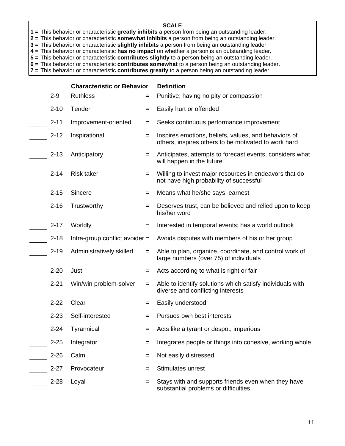- **1 =** This behavior or characteristic **greatly inhibits** a person from being an outstanding leader.
- **2 =** This behavior or characteristic **somewhat inhibits** a person from being an outstanding leader.
- **3 =** This behavior or characteristic **slightly inhibits** a person from being an outstanding leader.
- **4 =** This behavior or characteristic **has no impact** on whether a person is an outstanding leader.
- **5 =** This behavior or characteristic **contributes slightly** to a person being an outstanding leader.
- **6 =** This behavior or characteristic **contributes somewhat** to a person being an outstanding leader.
- **7 =** This behavior or characteristic **contributes greatly** to a person being an outstanding leader.

|          | <b>Characteristic or Behavior</b> |     | <b>Definition</b>                                                                                            |  |  |
|----------|-----------------------------------|-----|--------------------------------------------------------------------------------------------------------------|--|--|
| $2 - 9$  | <b>Ruthless</b>                   | $=$ | Punitive; having no pity or compassion                                                                       |  |  |
| $2 - 10$ | Tender                            | $=$ | Easily hurt or offended                                                                                      |  |  |
| $2 - 11$ | Improvement-oriented              | $=$ | Seeks continuous performance improvement                                                                     |  |  |
| $2 - 12$ | Inspirational                     | $=$ | Inspires emotions, beliefs, values, and behaviors of<br>others, inspires others to be motivated to work hard |  |  |
| $2 - 13$ | Anticipatory                      | $=$ | Anticipates, attempts to forecast events, considers what<br>will happen in the future                        |  |  |
| $2 - 14$ | <b>Risk taker</b>                 | $=$ | Willing to invest major resources in endeavors that do<br>not have high probability of successful            |  |  |
| $2 - 15$ | Sincere                           | $=$ | Means what he/she says; earnest                                                                              |  |  |
| $2 - 16$ | Trustworthy                       | $=$ | Deserves trust, can be believed and relied upon to keep<br>his/her word                                      |  |  |
| $2 - 17$ | Worldly                           | $=$ | Interested in temporal events; has a world outlook                                                           |  |  |
| $2 - 18$ | Intra-group conflict avoider $=$  |     | Avoids disputes with members of his or her group                                                             |  |  |
| $2 - 19$ | Administratively skilled          | $=$ | Able to plan, organize, coordinate, and control work of<br>large numbers (over 75) of individuals            |  |  |
| $2 - 20$ | Just                              | $=$ | Acts according to what is right or fair                                                                      |  |  |
| $2 - 21$ | Win/win problem-solver            | $=$ | Able to identify solutions which satisfy individuals with<br>diverse and conflicting interests               |  |  |
| $2 - 22$ | Clear                             | =   | Easily understood                                                                                            |  |  |
| $2 - 23$ | Self-interested                   |     | Pursues own best interests                                                                                   |  |  |
| $2 - 24$ | Tyrannical                        | $=$ | Acts like a tyrant or despot; imperious                                                                      |  |  |
| $2 - 25$ | Integrator                        | $=$ | Integrates people or things into cohesive, working whole                                                     |  |  |
| $2 - 26$ | Calm                              | $=$ | Not easily distressed                                                                                        |  |  |
| $2 - 27$ | Provocateur                       | =   | Stimulates unrest                                                                                            |  |  |
| $2 - 28$ | Loyal                             | $=$ | Stays with and supports friends even when they have<br>substantial problems or difficulties                  |  |  |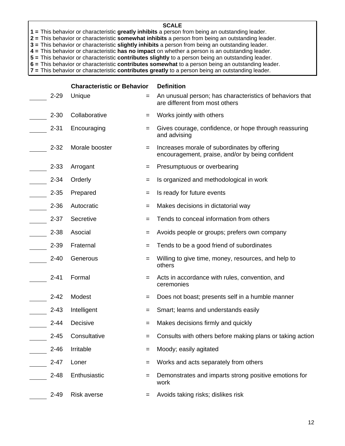- **1 =** This behavior or characteristic **greatly inhibits** a person from being an outstanding leader.
- **2 =** This behavior or characteristic **somewhat inhibits** a person from being an outstanding leader.
- **3 =** This behavior or characteristic **slightly inhibits** a person from being an outstanding leader.
- **4 =** This behavior or characteristic **has no impact** on whether a person is an outstanding leader.
- **5 =** This behavior or characteristic **contributes slightly** to a person being an outstanding leader.
- **6 =** This behavior or characteristic **contributes somewhat** to a person being an outstanding leader.
- **7 =** This behavior or characteristic **contributes greatly** to a person being an outstanding leader.

|          | <b>Characteristic or Behavior</b> |     | <b>Definition</b>                                                                                |  |  |
|----------|-----------------------------------|-----|--------------------------------------------------------------------------------------------------|--|--|
| $2 - 29$ | Unique                            | $=$ | An unusual person; has characteristics of behaviors that<br>are different from most others       |  |  |
| $2 - 30$ | Collaborative                     | $=$ | Works jointly with others                                                                        |  |  |
| $2 - 31$ | Encouraging                       | $=$ | Gives courage, confidence, or hope through reassuring<br>and advising                            |  |  |
| $2 - 32$ | Morale booster                    | $=$ | Increases morale of subordinates by offering<br>encouragement, praise, and/or by being confident |  |  |
| $2 - 33$ | Arrogant                          | $=$ | Presumptuous or overbearing                                                                      |  |  |
| $2 - 34$ | Orderly                           | $=$ | Is organized and methodological in work                                                          |  |  |
| $2 - 35$ | Prepared                          | $=$ | Is ready for future events                                                                       |  |  |
| $2 - 36$ | Autocratic                        | $=$ | Makes decisions in dictatorial way                                                               |  |  |
| $2 - 37$ | Secretive                         | $=$ | Tends to conceal information from others                                                         |  |  |
| $2 - 38$ | Asocial                           | =   | Avoids people or groups; prefers own company                                                     |  |  |
| $2 - 39$ | Fraternal                         | $=$ | Tends to be a good friend of subordinates                                                        |  |  |
| $2 - 40$ | Generous                          | $=$ | Willing to give time, money, resources, and help to<br>others                                    |  |  |
| $2 - 41$ | Formal                            |     | Acts in accordance with rules, convention, and<br>ceremonies                                     |  |  |
| $2 - 42$ | Modest                            | $=$ | Does not boast; presents self in a humble manner                                                 |  |  |
| $2 - 43$ | Intelligent                       | =   | Smart; learns and understands easily                                                             |  |  |
| $2 - 44$ | Decisive                          | $=$ | Makes decisions firmly and quickly                                                               |  |  |
| $2 - 45$ | Consultative                      |     | Consults with others before making plans or taking action                                        |  |  |
| $2 - 46$ | Irritable                         | $=$ | Moody; easily agitated                                                                           |  |  |
| $2 - 47$ | Loner                             |     | Works and acts separately from others                                                            |  |  |
| $2 - 48$ | Enthusiastic                      | $=$ | Demonstrates and imparts strong positive emotions for<br>work                                    |  |  |
| $2 - 49$ | <b>Risk averse</b>                | $=$ | Avoids taking risks; dislikes risk                                                               |  |  |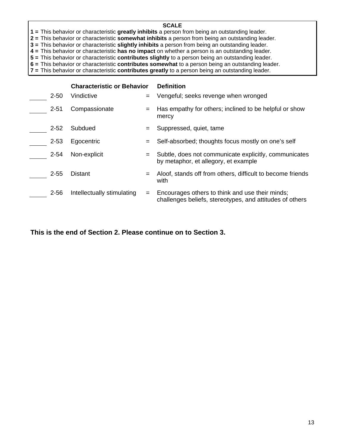- **1 =** This behavior or characteristic **greatly inhibits** a person from being an outstanding leader.
- **2 =** This behavior or characteristic **somewhat inhibits** a person from being an outstanding leader.
- **3 =** This behavior or characteristic **slightly inhibits** a person from being an outstanding leader.
- **4 =** This behavior or characteristic **has no impact** on whether a person is an outstanding leader.

**5 =** This behavior or characteristic **contributes slightly** to a person being an outstanding leader.

**6 =** This behavior or characteristic **contributes somewhat** to a person being an outstanding leader.

**7 =** This behavior or characteristic **contributes greatly** to a person being an outstanding leader.

|          | <b>Characteristic or Behavior</b> |     | <b>Definition</b>                                                                                           |
|----------|-----------------------------------|-----|-------------------------------------------------------------------------------------------------------------|
| $2 - 50$ | Vindictive                        | $=$ | Vengeful; seeks revenge when wronged                                                                        |
| $2 - 51$ | Compassionate                     | $=$ | Has empathy for others; inclined to be helpful or show<br>mercy                                             |
| $2 - 52$ | Subdued                           |     | Suppressed, quiet, tame                                                                                     |
| $2 - 53$ | Egocentric                        |     | Self-absorbed; thoughts focus mostly on one's self                                                          |
| $2 - 54$ | Non-explicit                      |     | Subtle, does not communicate explicitly, communicates<br>by metaphor, et allegory, et example               |
| $2 - 55$ | <b>Distant</b>                    | $=$ | Aloof, stands off from others, difficult to become friends<br>with                                          |
| $2 - 56$ | Intellectually stimulating        |     | Encourages others to think and use their minds;<br>challenges beliefs, stereotypes, and attitudes of others |

**This is the end of Section 2. Please continue on to Section 3.**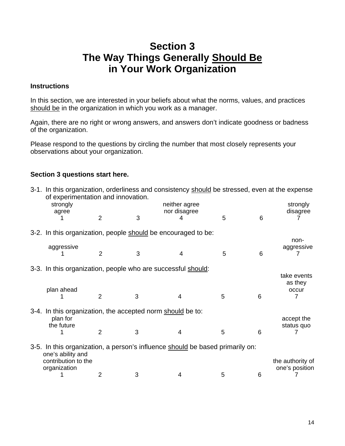## **Section 3 The Way Things Generally Should Be in Your Work Organization**

#### **Instructions**

In this section, we are interested in your beliefs about what the norms, values, and practices should be in the organization in which you work as a manager.

Again, there are no right or wrong answers, and answers don't indicate goodness or badness of the organization.

Please respond to the questions by circling the number that most closely represents your observations about your organization.

#### **Section 3 questions start here.**

| 3-1. In this organization, orderliness and consistency should be stressed, even at the expense<br>of experimentation and innovation. |                |   |                               |   |   |                                    |
|--------------------------------------------------------------------------------------------------------------------------------------|----------------|---|-------------------------------|---|---|------------------------------------|
| strongly<br>agree                                                                                                                    |                |   | neither agree<br>nor disagree |   |   | strongly<br>disagree               |
|                                                                                                                                      | $\overline{2}$ | 3 |                               | 5 | 6 |                                    |
| 3-2. In this organization, people should be encouraged to be:                                                                        |                |   |                               |   |   | non-                               |
| aggressive                                                                                                                           | $\overline{2}$ | 3 | 4                             | 5 | 6 | aggressive                         |
| 3-3. In this organization, people who are successful should:                                                                         |                |   |                               |   |   |                                    |
|                                                                                                                                      |                |   |                               |   |   | take events<br>as they             |
| plan ahead                                                                                                                           | 2              | 3 | 4                             | 5 | 6 | occur                              |
| 3-4. In this organization, the accepted norm should be to:                                                                           |                |   |                               |   |   |                                    |
| plan for<br>the future                                                                                                               | 2              | 3 | 4                             | 5 | 6 | accept the<br>status quo           |
| 3-5. In this organization, a person's influence should be based primarily on:<br>one's ability and                                   |                |   |                               |   |   |                                    |
| contribution to the<br>organization                                                                                                  |                |   |                               |   |   | the authority of<br>one's position |
|                                                                                                                                      | 2              | 3 | 4                             | 5 | 6 |                                    |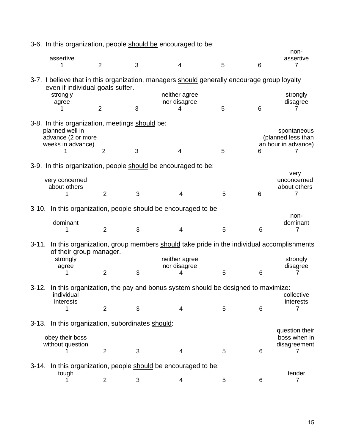|           |                                                                                                              |                |   | 3-6. In this organization, people should be encouraged to be:                               |   |   |                                                          |
|-----------|--------------------------------------------------------------------------------------------------------------|----------------|---|---------------------------------------------------------------------------------------------|---|---|----------------------------------------------------------|
|           | assertive                                                                                                    |                |   |                                                                                             |   |   | non-<br>assertive                                        |
|           |                                                                                                              | $\overline{2}$ | 3 | $\overline{4}$                                                                              | 5 | 6 | 7                                                        |
|           | even if individual goals suffer.                                                                             |                |   | 3-7. I believe that in this organization, managers should generally encourage group loyalty |   |   |                                                          |
|           | strongly<br>agree                                                                                            |                |   | neither agree<br>nor disagree                                                               |   |   | strongly<br>disagree                                     |
|           |                                                                                                              | $\overline{2}$ | 3 | 4                                                                                           | 5 | 6 | 7                                                        |
|           | 3-8. In this organization, meetings should be:<br>planned well in<br>advance (2 or more<br>weeks in advance) |                |   |                                                                                             |   |   | spontaneous<br>(planned less than<br>an hour in advance) |
|           |                                                                                                              | $\overline{2}$ | 3 | $\overline{4}$                                                                              | 5 | 6 | 7                                                        |
|           |                                                                                                              |                |   | 3-9. In this organization, people should be encouraged to be:                               |   |   |                                                          |
|           | very concerned<br>about others                                                                               |                |   |                                                                                             |   |   | very<br>unconcerned<br>about others                      |
|           |                                                                                                              | $\overline{2}$ | 3 | 4                                                                                           | 5 | 6 | 7                                                        |
| $3 - 10.$ |                                                                                                              |                |   | In this organization, people should be encouraged to be                                     |   |   | non-                                                     |
|           | dominant                                                                                                     |                |   |                                                                                             |   |   | dominant                                                 |
|           | 1                                                                                                            | $\overline{2}$ | 3 | 4                                                                                           | 5 | 6 | $\overline{7}$                                           |
| $3 - 11.$ | of their group manager.                                                                                      |                |   | In this organization, group members should take pride in the individual accomplishments     |   |   |                                                          |
|           | strongly<br>agree                                                                                            |                |   | neither agree<br>nor disagree                                                               |   |   | strongly<br>disagree                                     |
|           |                                                                                                              | $\overline{2}$ | 3 | 4                                                                                           | 5 | 6 |                                                          |
|           | individual<br>interests                                                                                      |                |   | 3-12. In this organization, the pay and bonus system should be designed to maximize:        |   |   | collective<br>interests                                  |
|           | 1                                                                                                            | $\overline{2}$ | 3 | 4                                                                                           | 5 | 6 | 7                                                        |
|           | 3-13. In this organization, subordinates should:                                                             |                |   |                                                                                             |   |   |                                                          |
|           | obey their boss<br>without question                                                                          |                |   |                                                                                             |   |   | question their<br>boss when in<br>disagreement           |
|           |                                                                                                              | $\overline{2}$ | 3 | 4                                                                                           | 5 | 6 | 7                                                        |
| $3-14.$   | tough                                                                                                        |                |   | In this organization, people should be encouraged to be:                                    |   |   | tender                                                   |
|           |                                                                                                              | $\overline{2}$ | 3 | 4                                                                                           | 5 | 6 | 7                                                        |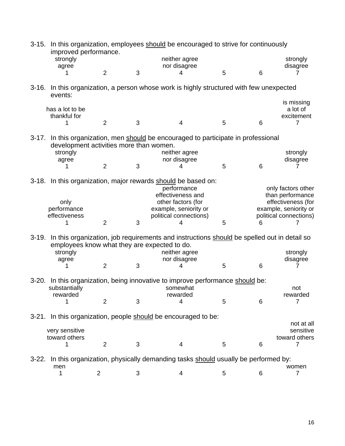| $3 - 15.$ | improved performance.                        |                |   | In this organization, employees should be encouraged to strive for continuously            |   |   |                                             |
|-----------|----------------------------------------------|----------------|---|--------------------------------------------------------------------------------------------|---|---|---------------------------------------------|
|           | strongly<br>agree                            |                |   | neither agree<br>nor disagree                                                              |   |   | strongly<br>disagree                        |
|           |                                              | $\overline{2}$ | 3 | 4                                                                                          | 5 | 6 |                                             |
|           | events:                                      |                |   | 3-16. In this organization, a person whose work is highly structured with few unexpected   |   |   |                                             |
|           | has a lot to be                              |                |   |                                                                                            |   |   | is missing<br>a lot of                      |
|           | thankful for                                 |                |   |                                                                                            |   |   | excitement                                  |
|           | 1                                            | $\overline{2}$ | 3 | 4                                                                                          | 5 | 6 | 7                                           |
| $3-17.$   | development activities more than women.      |                |   | In this organization, men should be encouraged to participate in professional              |   |   |                                             |
|           | strongly                                     |                |   | neither agree                                                                              |   |   | strongly                                    |
|           | agree                                        | $\overline{2}$ | 3 | nor disagree<br>4                                                                          | 5 | 6 | disagree                                    |
|           |                                              |                |   | 3-18. In this organization, major rewards should be based on:<br>performance               |   |   | only factors other                          |
|           |                                              |                |   | effectiveness and                                                                          |   |   | than performance                            |
|           | only<br>performance                          |                |   | other factors (for<br>example, seniority or                                                |   |   | effectiveness (for<br>example, seniority or |
|           | effectiveness                                |                |   | political connections)                                                                     |   |   | political connections)                      |
|           | 1                                            | $\overline{2}$ | 3 | 4                                                                                          | 5 | 6 |                                             |
| $3-19.$   | employees know what they are expected to do. |                |   | In this organization, job requirements and instructions should be spelled out in detail so |   |   |                                             |
|           | strongly                                     |                |   | neither agree                                                                              |   |   | strongly                                    |
|           | agree<br>1                                   | 2              | 3 | nor disagree<br>4                                                                          | 5 | 6 | disagree                                    |
| $3-20.$   | substantially                                |                |   | In this organization, being innovative to improve performance should be:<br>somewhat       |   |   | not                                         |
|           | rewarded<br>1                                | $\overline{2}$ | 3 | rewarded<br>4                                                                              | 5 | 6 | rewarded<br>7                               |
|           |                                              |                |   | 3-21. In this organization, people should be encouraged to be:                             |   |   |                                             |
|           |                                              |                |   |                                                                                            |   |   | not at all                                  |
|           | very sensitive<br>toward others              |                |   |                                                                                            |   |   | sensitive<br>toward others                  |
|           |                                              | 2              | 3 | 4                                                                                          | 5 | 6 | 7                                           |
| $3-22.$   | men                                          |                |   | In this organization, physically demanding tasks should usually be performed by:           |   |   | women                                       |
|           | 1                                            | $\overline{2}$ | 3 | 4                                                                                          | 5 | 6 | $\overline{7}$                              |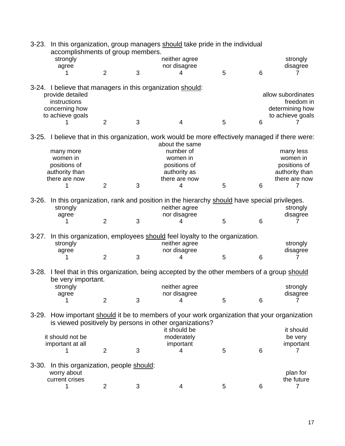|           | accomplishments of group members.    |                |   | 3-23. In this organization, group managers should take pride in the individual                                                                    |   |   |                               |
|-----------|--------------------------------------|----------------|---|---------------------------------------------------------------------------------------------------------------------------------------------------|---|---|-------------------------------|
|           | strongly                             |                |   | neither agree                                                                                                                                     |   |   | strongly                      |
|           | agree                                |                |   | nor disagree                                                                                                                                      |   |   | disagree                      |
|           |                                      | 2              | 3 | 4                                                                                                                                                 | 5 | 6 | 7                             |
|           | provide detailed                     |                |   | 3-24. I believe that managers in this organization should:                                                                                        |   |   | allow subordinates            |
|           | instructions<br>concerning how       |                |   |                                                                                                                                                   |   |   | freedom in<br>determining how |
|           | to achieve goals                     |                |   |                                                                                                                                                   |   |   | to achieve goals              |
|           |                                      | $\overline{2}$ | 3 | $\overline{4}$                                                                                                                                    | 5 | 6 |                               |
|           |                                      |                |   | 3-25. I believe that in this organization, work would be more effectively managed if there were:<br>about the same                                |   |   |                               |
|           | many more                            |                |   | number of                                                                                                                                         |   |   | many less                     |
|           | women in                             |                |   | women in                                                                                                                                          |   |   | women in                      |
|           | positions of                         |                |   | positions of                                                                                                                                      |   |   | positions of                  |
|           | authority than                       |                |   | authority as                                                                                                                                      |   |   | authority than                |
|           | there are now                        |                |   | there are now                                                                                                                                     |   |   | there are now                 |
|           | 1                                    | 2              | 3 | 4                                                                                                                                                 | 5 | 6 | 7                             |
|           |                                      |                |   |                                                                                                                                                   |   |   |                               |
| $3-26.$   | strongly                             |                |   | In this organization, rank and position in the hierarchy should have special privileges.<br>neither agree                                         |   |   | strongly                      |
|           | agree                                |                |   | nor disagree                                                                                                                                      |   |   | disagree                      |
|           | 1                                    | $\overline{2}$ | 3 | 4                                                                                                                                                 | 5 | 6 | 7                             |
|           |                                      |                |   | 3-27. In this organization, employees should feel loyalty to the organization.                                                                    |   |   |                               |
|           | strongly                             |                |   | neither agree                                                                                                                                     |   |   | strongly                      |
|           | agree                                |                |   | nor disagree                                                                                                                                      |   |   | disagree                      |
|           | 1                                    | $\overline{2}$ | 3 | 4                                                                                                                                                 | 5 | 6 | 7                             |
|           | be very important.                   |                |   | 3-28. I feel that in this organization, being accepted by the other members of a group should                                                     |   |   |                               |
|           | strongly                             |                |   | neither agree                                                                                                                                     |   |   | strongly                      |
|           | agree                                |                |   | nor disagree                                                                                                                                      |   |   | disagree                      |
|           |                                      | $\overline{2}$ | 3 | 4                                                                                                                                                 | 5 | 6 |                               |
| $3-29.$   |                                      |                |   | How important should it be to members of your work organization that your organization<br>is viewed positively by persons in other organizations? |   |   |                               |
|           |                                      |                |   | it should be                                                                                                                                      |   |   | it should                     |
|           | it should not be                     |                |   | moderately                                                                                                                                        |   |   | be very                       |
|           | important at all                     |                |   | important                                                                                                                                         |   |   | important                     |
|           |                                      | $\overline{2}$ | 3 | 4                                                                                                                                                 | 5 | 6 | 7                             |
|           |                                      |                |   |                                                                                                                                                   |   |   |                               |
| $3 - 30.$ | In this organization, people should: |                |   |                                                                                                                                                   |   |   |                               |
|           | worry about                          |                |   |                                                                                                                                                   |   |   | plan for                      |
|           | current crises                       |                |   |                                                                                                                                                   |   |   | the future                    |
|           |                                      | 2              | 3 | 4                                                                                                                                                 | 5 | 6 | 7                             |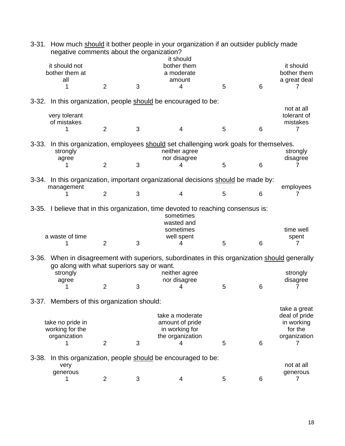| $3 - 31.$ | negative comments about the organization?           |                |   | How much should it bother people in your organization if an outsider publicly made                                                      |   |   |                                                                        |
|-----------|-----------------------------------------------------|----------------|---|-----------------------------------------------------------------------------------------------------------------------------------------|---|---|------------------------------------------------------------------------|
|           | it should not<br>bother them at<br>all              | 2              | 3 | it should<br>bother them<br>a moderate<br>amount<br>4                                                                                   | 5 | 6 | it should<br>bother them<br>a great deal<br>7                          |
|           |                                                     |                |   | 3-32. In this organization, people should be encouraged to be:                                                                          |   |   |                                                                        |
|           | very tolerant<br>of mistakes                        |                |   |                                                                                                                                         |   |   | not at all<br>tolerant of<br>mistakes                                  |
|           |                                                     | $\overline{2}$ | 3 | 4                                                                                                                                       | 5 | 6 | 7                                                                      |
| $3 - 33.$ | strongly                                            |                |   | In this organization, employees should set challenging work goals for themselves.<br>neither agree<br>nor disagree                      |   |   | strongly<br>disagree                                                   |
|           | agree                                               | $\overline{2}$ | 3 | 4                                                                                                                                       | 5 | 6 |                                                                        |
|           | management                                          |                |   | 3-34. In this organization, important organizational decisions should be made by:                                                       |   |   | employees                                                              |
|           |                                                     | 2              | 3 | 4                                                                                                                                       | 5 | 6 |                                                                        |
|           | a waste of time                                     |                |   | 3-35. I believe that in this organization, time devoted to reaching consensus is:<br>sometimes<br>wasted and<br>sometimes<br>well spent |   |   | time well<br>spent                                                     |
|           |                                                     | $\overline{2}$ | 3 | 4                                                                                                                                       | 5 | 6 | 7                                                                      |
|           | go along with what superiors say or want.           |                |   | 3-36. When in disagreement with superiors, subordinates in this organization should generally                                           |   |   |                                                                        |
|           | strongly<br>agree                                   | $\overline{2}$ | 3 | neither agree<br>nor disagree<br>4                                                                                                      | 5 | 6 | strongly<br>disagree<br>7                                              |
|           | 3-37. Members of this organization should:          |                |   |                                                                                                                                         |   |   |                                                                        |
|           | take no pride in<br>working for the<br>organization |                |   | take a moderate<br>amount of pride<br>in working for<br>the organization                                                                |   |   | take a great<br>deal of pride<br>in working<br>for the<br>organization |
|           |                                                     | $\overline{2}$ | 3 | 4                                                                                                                                       | 5 | 6 | 7                                                                      |
| $3 - 38.$ | very                                                |                |   | In this organization, people should be encouraged to be:                                                                                |   |   | not at all                                                             |
|           | generous                                            | 2              | 3 | 4                                                                                                                                       | 5 | 6 | generous<br>7                                                          |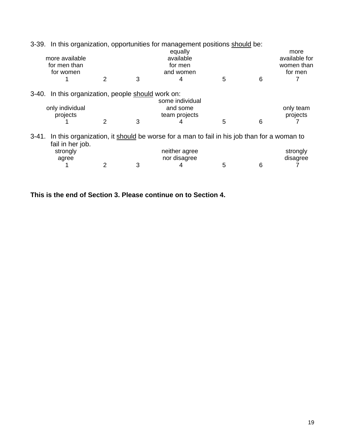|         |                                              |   |   | 3-39. In this organization, opportunities for management positions should be:             |   |   |               |
|---------|----------------------------------------------|---|---|-------------------------------------------------------------------------------------------|---|---|---------------|
|         |                                              |   |   | equally                                                                                   |   |   | more          |
|         | more available                               |   |   | available                                                                                 |   |   | available for |
|         | for men than                                 |   |   | for men                                                                                   |   |   | women than    |
|         | for women                                    |   |   | and women                                                                                 |   |   | for men       |
|         |                                              | 2 | 3 | 4                                                                                         | 5 | 6 |               |
| $3-40.$ | In this organization, people should work on: |   |   |                                                                                           |   |   |               |
|         |                                              |   |   | some individual                                                                           |   |   |               |
|         | only individual                              |   |   | and some                                                                                  |   |   | only team     |
|         | projects                                     |   |   | team projects                                                                             |   |   | projects      |
|         |                                              | 2 | 3 |                                                                                           | 5 | 6 |               |
| 3-41.   |                                              |   |   | In this organization, it should be worse for a man to fail in his job than for a woman to |   |   |               |
|         | fail in her job.                             |   |   |                                                                                           |   |   |               |
|         | strongly                                     |   |   | neither agree                                                                             |   |   | strongly      |
|         | agree                                        |   |   | nor disagree                                                                              |   |   | disagree      |
|         |                                              |   | 3 |                                                                                           | 5 | 6 |               |

**This is the end of Section 3. Please continue on to Section 4.**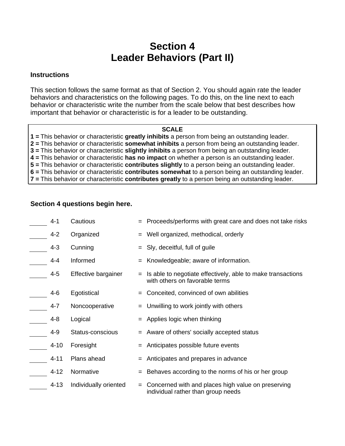## **Section 4 Leader Behaviors (Part II)**

#### **Instructions**

This section follows the same format as that of Section 2. You should again rate the leader behaviors and characteristics on the following pages. To do this, on the line next to each behavior or characteristic write the number from the scale below that best describes how important that behavior or characteristic is for a leader to be outstanding.

#### **SCALE**

**1 =** This behavior or characteristic **greatly inhibits** a person from being an outstanding leader. **2 =** This behavior or characteristic **somewhat inhibits** a person from being an outstanding leader. **3 =** This behavior or characteristic **slightly inhibits** a person from being an outstanding leader. **4 =** This behavior or characteristic **has no impact** on whether a person is an outstanding leader. **5 =** This behavior or characteristic **contributes slightly** to a person being an outstanding leader. **6 =** This behavior or characteristic **contributes somewhat** to a person being an outstanding leader. **7 =** This behavior or characteristic **contributes greatly** to a person being an outstanding leader.

#### **Section 4 questions begin here.**

| $4 - 1$  | Cautious              |     | = Proceeds/performs with great care and does not take risks                                   |
|----------|-----------------------|-----|-----------------------------------------------------------------------------------------------|
| $4 - 2$  | Organized             | $=$ | Well organized, methodical, orderly                                                           |
| $4 - 3$  | Cunning               | $=$ | Sly, deceitful, full of guile                                                                 |
| $4 - 4$  | Informed              | $=$ | Knowledgeable; aware of information.                                                          |
| $4 - 5$  | Effective bargainer   | $=$ | Is able to negotiate effectively, able to make transactions<br>with others on favorable terms |
| $4 - 6$  | Egotistical           | $=$ | Conceited, convinced of own abilities                                                         |
| $4 - 7$  | Noncooperative        | $=$ | Unwilling to work jointly with others                                                         |
| $4 - 8$  | Logical               | $=$ | Applies logic when thinking                                                                   |
| $4 - 9$  | Status-conscious      | $=$ | Aware of others' socially accepted status                                                     |
| $4 - 10$ | Foresight             | =   | Anticipates possible future events                                                            |
| 4-11     | Plans ahead           | $=$ | Anticipates and prepares in advance                                                           |
| $4 - 12$ | Normative             | $=$ | Behaves according to the norms of his or her group                                            |
| $4 - 13$ | Individually oriented | $=$ | Concerned with and places high value on preserving<br>individual rather than group needs      |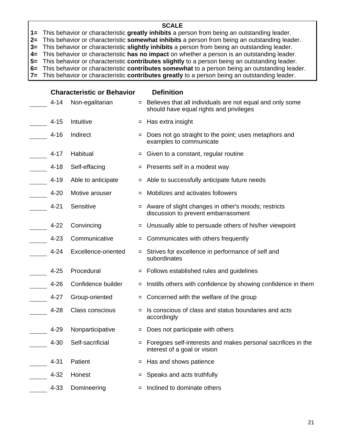**1=** This behavior or characteristic **greatly inhibits** a person from being an outstanding leader.

**2=** This behavior or characteristic **somewhat inhibits** a person from being an outstanding leader.

**3=** This behavior or characteristic **slightly inhibits** a person from being an outstanding leader.

**4=** This behavior or characteristic **has no impact** on whether a person is an outstanding leader.

**5=** This behavior or characteristic **contributes slightly** to a person being an outstanding leader. **6=** This behavior or characteristic **contributes somewhat** to a person being an outstanding leader.

**7=** This behavior or characteristic **contributes greatly** to a person being an outstanding leader.

**Characteristic or Behavior Definition**  4-14 Non-egalitarian  $=$  Believes that all individuals are not equal and only some should have equal rights and privileges  $4-15$  Intuitive  $=$  Has extra insight 4-16 Indirect  $=$  Does not go straight to the point; uses metaphors and examples to communicate  $4-17$  Habitual  $=$  Given to a constant, regular routine  $4-18$  Self-effacing  $=$  Presents self in a modest way  $4-19$  Able to anticipate  $=$  Able to successfully anticipate future needs  $4-20$  Motive arouser  $\qquad \qquad =$  Mobilizes and activates followers 4-21 Sensitive  $=$  Aware of slight changes in other's moods; restricts discussion to prevent embarrassment  $4-22$  Convincing  $=$  Unusually able to persuade others of his/her viewpoint 4-23 Communicative = Communicates with others frequently 4-24 Excellence-oriented = Strives for excellence in performance of self and subordinates  $4-25$  Procedural  $=$  Follows established rules and quidelines 4-26 Confidence builder  $=$  Instills others with confidence by showing confidence in them 4-27 Group-oriented  $=$  Concerned with the welfare of the group 4-28 Class conscious  $\equiv$  Is conscious of class and status boundaries and acts accordingly 4-29 Nonparticipative = Does not participate with others 4-30 Self-sacrificial  $=$  Foregoes self-interests and makes personal sacrifices in the interest of a goal or vision  $4-31$  Patient  $=$  Has and shows patience  $4-32$  Honest  $=$  Speaks and acts truthfully  $4-33$  Domineering  $=$  Inclined to dominate others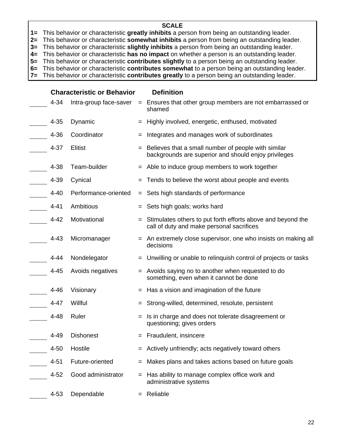**1=** This behavior or characteristic **greatly inhibits** a person from being an outstanding leader.

**2=** This behavior or characteristic **somewhat inhibits** a person from being an outstanding leader.

**3=** This behavior or characteristic **slightly inhibits** a person from being an outstanding leader.

**4=** This behavior or characteristic **has no impact** on whether a person is an outstanding leader.

**5=** This behavior or characteristic **contributes slightly** to a person being an outstanding leader.

**6=** This behavior or characteristic **contributes somewhat** to a person being an outstanding leader.

**7=** This behavior or characteristic **contributes greatly** to a person being an outstanding leader.

|          | <b>Characteristic or Behavior</b> |     | <b>Definition</b>                                                                                           |
|----------|-----------------------------------|-----|-------------------------------------------------------------------------------------------------------------|
| $4 - 34$ | Intra-group face-saver            |     | = Ensures that other group members are not embarrassed or<br>shamed                                         |
| $4 - 35$ | Dynamic                           |     | Highly involved, energetic, enthused, motivated                                                             |
| $4 - 36$ | Coordinator                       |     | Integrates and manages work of subordinates                                                                 |
| $4 - 37$ | <b>Elitist</b>                    |     | Believes that a small number of people with similar<br>backgrounds are superior and should enjoy privileges |
| 4-38     | Team-builder                      |     | $=$ Able to induce group members to work together                                                           |
| 4-39     | Cynical                           |     | = Tends to believe the worst about people and events                                                        |
| $4 - 40$ | Performance-oriented              |     | = Sets high standards of performance                                                                        |
| $4 - 41$ | Ambitious                         |     | $=$ Sets high goals; works hard                                                                             |
| $4 - 42$ | Motivational                      |     | = Stimulates others to put forth efforts above and beyond the<br>call of duty and make personal sacrifices  |
| $4 - 43$ | Micromanager                      |     | = An extremely close supervisor, one who insists on making all<br>decisions                                 |
| 4-44     | Nondelegator                      |     | = Unwilling or unable to relinguish control of projects or tasks                                            |
| $4 - 45$ | Avoids negatives                  |     | = Avoids saying no to another when requested to do<br>something, even when it cannot be done                |
| $4 - 46$ | Visionary                         | $=$ | Has a vision and imagination of the future                                                                  |
| $4 - 47$ | Willful                           |     | Strong-willed, determined, resolute, persistent                                                             |
| $4 - 48$ | Ruler                             |     | Is in charge and does not tolerate disagreement or<br>questioning; gives orders                             |
| 4-49     | <b>Dishonest</b>                  |     | $=$ Fraudulent, insincere                                                                                   |
| $4 - 50$ | Hostile                           |     | = Actively unfriendly; acts negatively toward others                                                        |
| $4 - 51$ | Future-oriented                   |     | Makes plans and takes actions based on future goals                                                         |
| $4 - 52$ | Good administrator                |     | Has ability to manage complex office work and<br>administrative systems                                     |
| $4 - 53$ | Dependable                        |     | Reliable                                                                                                    |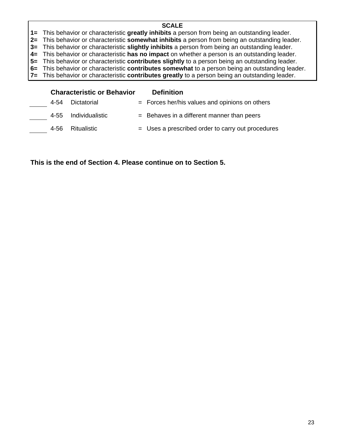**1=** This behavior or characteristic **greatly inhibits** a person from being an outstanding leader.

**2=** This behavior or characteristic **somewhat inhibits** a person from being an outstanding leader.

**3=** This behavior or characteristic **slightly inhibits** a person from being an outstanding leader.

**4=** This behavior or characteristic **has no impact** on whether a person is an outstanding leader.

**5=** This behavior or characteristic **contributes slightly** to a person being an outstanding leader.

**6=** This behavior or characteristic **contributes somewhat** to a person being an outstanding leader.

**7=** This behavior or characteristic **contributes greatly** to a person being an outstanding leader.

|      | <b>Characteristic or Behavior</b> | <b>Definition</b>                                   |
|------|-----------------------------------|-----------------------------------------------------|
| 4-54 | Dictatorial                       | $=$ Forces her/his values and opinions on others    |
|      | 4-55 Individualistic              | $=$ Behaves in a different manner than peers        |
|      | 4-56 Ritualistic                  | $=$ Uses a prescribed order to carry out procedures |

**This is the end of Section 4. Please continue on to Section 5.**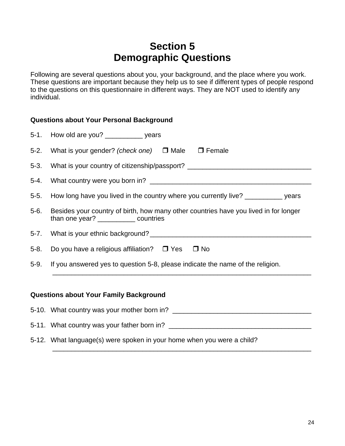## **Section 5 Demographic Questions**

Following are several questions about you, your background, and the place where you work. These questions are important because they help us to see if different types of people respond to the questions on this questionnaire in different ways. They are NOT used to identify any individual.

|          | <b>Questions about Your Personal Background</b>                                                                                |  |  |  |  |  |
|----------|--------------------------------------------------------------------------------------------------------------------------------|--|--|--|--|--|
|          | 5-1. How old are you? ______________ years                                                                                     |  |  |  |  |  |
|          | 5-2. What is your gender? (check one) □ Male □ Female                                                                          |  |  |  |  |  |
|          | 5-3. What is your country of citizenship/passport? _____________________________                                               |  |  |  |  |  |
| $5-4.$   |                                                                                                                                |  |  |  |  |  |
| $5-5.$   | How long have you lived in the country where you currently live? __________ years                                              |  |  |  |  |  |
| $5-6.$   | Besides your country of birth, how many other countries have you lived in for longer<br>than one year? _____________ countries |  |  |  |  |  |
| $5 - 7.$ |                                                                                                                                |  |  |  |  |  |
| 5-8.     | Do you have a religious affiliation? $\Box$ Yes $\Box$ No                                                                      |  |  |  |  |  |
| 5-9.     | If you answered yes to question 5-8, please indicate the name of the religion.                                                 |  |  |  |  |  |
|          | <b>Questions about Your Family Background</b>                                                                                  |  |  |  |  |  |

| 5-10. What country was your mother born in?                            |
|------------------------------------------------------------------------|
|                                                                        |
| 5-11. What country was your father born in?                            |
| 5-12. What language(s) were spoken in your home when you were a child? |
|                                                                        |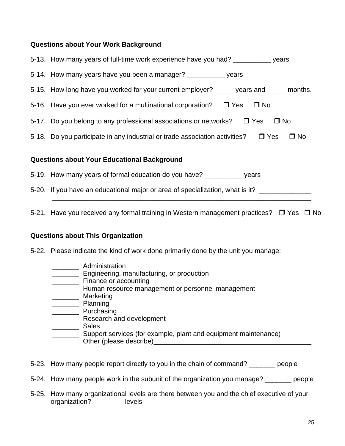#### **Questions about Your Work Background**

|                                                    | 5-13. How many years of full-time work experience have you had? ____________ years                  |  |
|----------------------------------------------------|-----------------------------------------------------------------------------------------------------|--|
|                                                    | 5-14. How many years have you been a manager? ____________ years                                    |  |
|                                                    | 5-15. How long have you worked for your current employer? _____ years and _____ months.             |  |
|                                                    | 5-16. Have you ever worked for a multinational corporation? $\Box$ Yes $\Box$ No                    |  |
|                                                    | 5-17. Do you belong to any professional associations or networks? □ Yes<br>$\Box$ No                |  |
|                                                    | 5-18. Do you participate in any industrial or trade association activities? $\Box$ Yes<br>$\Box$ No |  |
| <b>Questions about Your Educational Background</b> |                                                                                                     |  |

- 5-19. How many years of formal education do you have? \_\_\_\_\_\_\_\_\_\_ years
- 5-20. If you have an educational major or area of specialization, what is it? \_\_\_\_\_\_\_\_\_\_\_\_\_\_\_\_\_\_\_\_\_\_\_\_\_\_\_\_\_\_\_\_\_\_\_\_\_\_\_\_\_\_\_\_\_\_\_\_\_\_\_\_\_\_\_\_\_\_\_\_\_\_\_\_\_\_\_\_\_
- 5-21. Have you received any formal training in Western management practices?  $\Box$  Yes  $\Box$  No

#### **Questions about This Organization**

5-22. Please indicate the kind of work done primarily done by the unit you manage:

- \_\_\_\_\_\_\_\_\_\_ Administration
- **Engineering, manufacturing, or production**
- \_\_\_\_\_\_\_ Finance or accounting
- **\_\_\_\_\_\_\_** Human resource management or personnel management
- \_\_\_\_\_\_\_ Marketing
- \_\_\_\_\_\_\_ Planning
- \_\_\_\_\_\_\_ Purchasing
- **\_\_\_\_\_\_\_\_** Research and development
- \_\_\_\_\_\_\_ Sales
- \_\_\_\_\_\_\_ Support services (for example, plant and equipment maintenance) Other (please describe)\_\_\_\_\_\_\_\_\_\_\_\_\_\_\_\_\_\_\_\_\_\_\_\_\_\_\_\_\_\_\_\_\_\_\_\_\_\_\_\_\_\_ \_\_\_\_\_\_\_\_\_\_\_\_\_\_\_\_\_\_\_\_\_\_\_\_\_\_\_\_\_\_\_\_\_\_\_\_\_\_\_\_\_\_\_\_\_\_\_\_\_\_\_\_\_\_\_\_\_\_\_\_\_
- 5-23. How many people report directly to you in the chain of command? \_\_\_\_\_\_\_ people
- 5-24. How many people work in the subunit of the organization you manage? \_\_\_\_\_\_\_ people
- 5-25. How many organizational levels are there between you and the chief executive of your organization? \_\_\_\_\_\_\_\_ levels